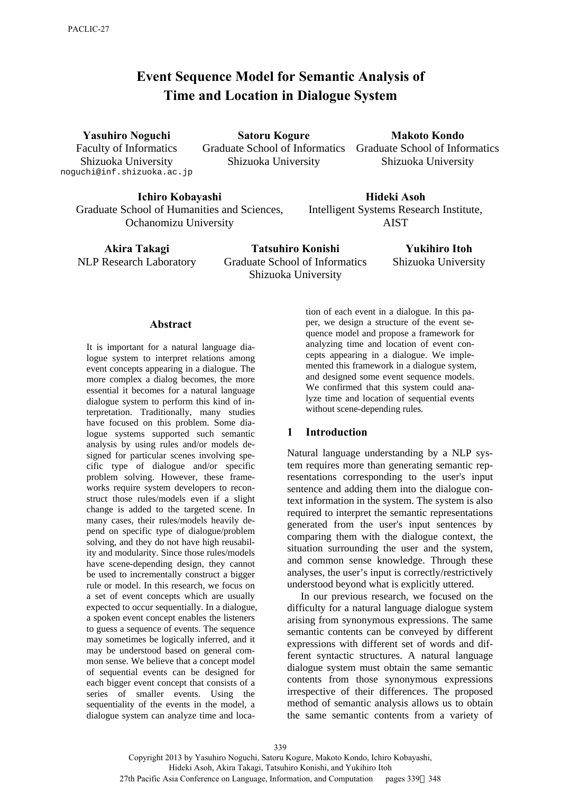# **Event Sequence Model for Semantic Analysis of Time and Location in Dialogue System**

**Yasuhiro Noguchi** 

Faculty of Informatics Shizuoka University noguchi@inf.shizuoka.ac.jp

**Satoru Kogure**  Graduate School of Informatics Graduate School of Informatics Shizuoka University

**Makoto Kondo**  Shizuoka University

**Ichiro Kobayashi**  Graduate School of Humanities and Sciences, Ochanomizu University

**Hideki Asoh**  Intelligent Systems Research Institute, AIST

**Akira Takagi**  NLP Research Laboratory

**Tatsuhiro Konishi**  Graduate School of Informatics Shizuoka University

**Yukihiro Itoh**  Shizuoka University

#### **Abstract**

It is important for a natural language dialogue system to interpret relations among event concepts appearing in a dialogue. The more complex a dialog becomes, the more essential it becomes for a natural language dialogue system to perform this kind of interpretation. Traditionally, many studies have focused on this problem. Some dialogue systems supported such semantic analysis by using rules and/or models designed for particular scenes involving specific type of dialogue and/or specific problem solving. However, these frameworks require system developers to reconstruct those rules/models even if a slight change is added to the targeted scene. In many cases, their rules/models heavily depend on specific type of dialogue/problem solving, and they do not have high reusability and modularity. Since those rules/models have scene-depending design, they cannot be used to incrementally construct a bigger rule or model. In this research, we focus on a set of event concepts which are usually expected to occur sequentially. In a dialogue, a spoken event concept enables the listeners to guess a sequence of events. The sequence may sometimes be logically inferred, and it may be understood based on general common sense. We believe that a concept model of sequential events can be designed for each bigger event concept that consists of a series of smaller events. Using the sequentiality of the events in the model, a dialogue system can analyze time and loca-

tion of each event in a dialogue. In this paper, we design a structure of the event sequence model and propose a framework for analyzing time and location of event concepts appearing in a dialogue. We implemented this framework in a dialogue system, and designed some event sequence models. We confirmed that this system could analyze time and location of sequential events without scene-depending rules.

#### **1 Introduction**

Natural language understanding by a NLP system requires more than generating semantic representations corresponding to the user's input sentence and adding them into the dialogue context information in the system. The system is also required to interpret the semantic representations generated from the user's input sentences by comparing them with the dialogue context, the situation surrounding the user and the system, and common sense knowledge. Through these analyses, the user's input is correctly/restrictively understood beyond what is explicitly uttered.

In our previous research, we focused on the difficulty for a natural language dialogue system arising from synonymous expressions. The same semantic contents can be conveyed by different expressions with different set of words and different syntactic structures. A natural language dialogue system must obtain the same semantic contents from those synonymous expressions irrespective of their differences. The proposed method of semantic analysis allows us to obtain the same semantic contents from a variety of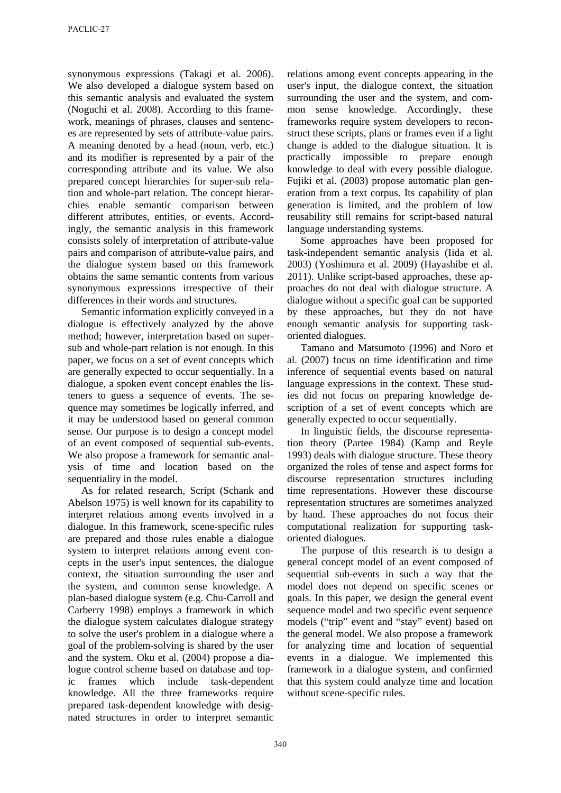synonymous expressions (Takagi et al. 2006). We also developed a dialogue system based on this semantic analysis and evaluated the system (Noguchi et al. 2008). According to this framework, meanings of phrases, clauses and sentences are represented by sets of attribute-value pairs. A meaning denoted by a head (noun, verb, etc.) and its modifier is represented by a pair of the corresponding attribute and its value. We also prepared concept hierarchies for super-sub relation and whole-part relation. The concept hierarchies enable semantic comparison between different attributes, entities, or events. Accordingly, the semantic analysis in this framework consists solely of interpretation of attribute-value pairs and comparison of attribute-value pairs, and the dialogue system based on this framework obtains the same semantic contents from various synonymous expressions irrespective of their differences in their words and structures.

Semantic information explicitly conveyed in a dialogue is effectively analyzed by the above method; however, interpretation based on supersub and whole-part relation is not enough. In this paper, we focus on a set of event concepts which are generally expected to occur sequentially. In a dialogue, a spoken event concept enables the listeners to guess a sequence of events. The sequence may sometimes be logically inferred, and it may be understood based on general common sense. Our purpose is to design a concept model of an event composed of sequential sub-events. We also propose a framework for semantic analysis of time and location based on the sequentiality in the model.

As for related research, Script (Schank and Abelson 1975) is well known for its capability to interpret relations among events involved in a dialogue. In this framework, scene-specific rules are prepared and those rules enable a dialogue system to interpret relations among event concepts in the user's input sentences, the dialogue context, the situation surrounding the user and the system, and common sense knowledge. A plan-based dialogue system (e.g. Chu-Carroll and Carberry 1998) employs a framework in which the dialogue system calculates dialogue strategy to solve the user's problem in a dialogue where a goal of the problem-solving is shared by the user and the system. Oku et al. (2004) propose a dialogue control scheme based on database and topic frames which include task-dependent knowledge. All the three frameworks require prepared task-dependent knowledge with designated structures in order to interpret semantic relations among event concepts appearing in the user's input, the dialogue context, the situation surrounding the user and the system, and common sense knowledge. Accordingly, these frameworks require system developers to reconstruct these scripts, plans or frames even if a light change is added to the dialogue situation. It is practically impossible to prepare enough knowledge to deal with every possible dialogue. Fujiki et al. (2003) propose automatic plan generation from a text corpus. Its capability of plan generation is limited, and the problem of low reusability still remains for script-based natural language understanding systems.

Some approaches have been proposed for task-independent semantic analysis (Iida et al. 2003) (Yoshimura et al. 2009) (Hayashibe et al. 2011). Unlike script-based approaches, these approaches do not deal with dialogue structure. A dialogue without a specific goal can be supported by these approaches, but they do not have enough semantic analysis for supporting taskoriented dialogues.

Tamano and Matsumoto (1996) and Noro et al. (2007) focus on time identification and time inference of sequential events based on natural language expressions in the context. These studies did not focus on preparing knowledge description of a set of event concepts which are generally expected to occur sequentially.

In linguistic fields, the discourse representation theory (Partee 1984) (Kamp and Reyle 1993) deals with dialogue structure. These theory organized the roles of tense and aspect forms for discourse representation structures including time representations. However these discourse representation structures are sometimes analyzed by hand. These approaches do not focus their computational realization for supporting taskoriented dialogues.

The purpose of this research is to design a general concept model of an event composed of sequential sub-events in such a way that the model does not depend on specific scenes or goals. In this paper, we design the general event sequence model and two specific event sequence models ("trip" event and "stay" event) based on the general model. We also propose a framework for analyzing time and location of sequential events in a dialogue. We implemented this framework in a dialogue system, and confirmed that this system could analyze time and location without scene-specific rules.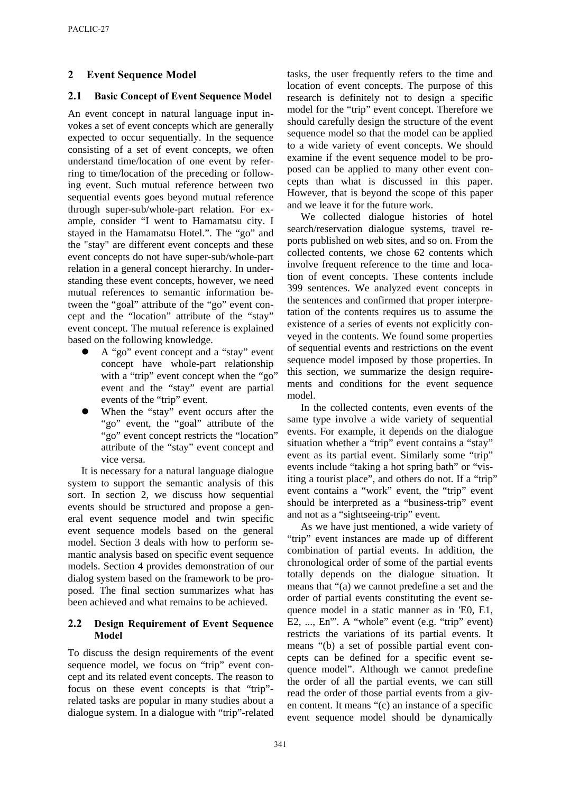# **2 Event Sequence Model**

# **2.1 Basic Concept of Event Sequence Model**

An event concept in natural language input invokes a set of event concepts which are generally expected to occur sequentially. In the sequence consisting of a set of event concepts, we often understand time/location of one event by referring to time/location of the preceding or following event. Such mutual reference between two sequential events goes beyond mutual reference through super-sub/whole-part relation. For example, consider "I went to Hamamatsu city. I stayed in the Hamamatsu Hotel.". The "go" and the "stay" are different event concepts and these event concepts do not have super-sub/whole-part relation in a general concept hierarchy. In understanding these event concepts, however, we need mutual references to semantic information between the "goal" attribute of the "go" event concept and the "location" attribute of the "stay" event concept. The mutual reference is explained based on the following knowledge.

- A "go" event concept and a "stay" event concept have whole-part relationship with a "trip" event concept when the "go" event and the "stay" event are partial events of the "trip" event.
- When the "stay" event occurs after the "go" event, the "goal" attribute of the "go" event concept restricts the "location" attribute of the "stay" event concept and vice versa.

It is necessary for a natural language dialogue system to support the semantic analysis of this sort. In section 2, we discuss how sequential events should be structured and propose a general event sequence model and twin specific event sequence models based on the general model. Section 3 deals with how to perform semantic analysis based on specific event sequence models. Section 4 provides demonstration of our dialog system based on the framework to be proposed. The final section summarizes what has been achieved and what remains to be achieved.

#### **2.2 Design Requirement of Event Sequence Model**

To discuss the design requirements of the event sequence model, we focus on "trip" event concept and its related event concepts. The reason to focus on these event concepts is that "trip" related tasks are popular in many studies about a dialogue system. In a dialogue with "trip"-related tasks, the user frequently refers to the time and location of event concepts. The purpose of this research is definitely not to design a specific model for the "trip" event concept. Therefore we should carefully design the structure of the event sequence model so that the model can be applied to a wide variety of event concepts. We should examine if the event sequence model to be proposed can be applied to many other event concepts than what is discussed in this paper. However, that is beyond the scope of this paper and we leave it for the future work.

We collected dialogue histories of hotel search/reservation dialogue systems, travel reports published on web sites, and so on. From the collected contents, we chose 62 contents which involve frequent reference to the time and location of event concepts. These contents include 399 sentences. We analyzed event concepts in the sentences and confirmed that proper interpretation of the contents requires us to assume the existence of a series of events not explicitly conveyed in the contents. We found some properties of sequential events and restrictions on the event sequence model imposed by those properties. In this section, we summarize the design requirements and conditions for the event sequence model.

In the collected contents, even events of the same type involve a wide variety of sequential events. For example, it depends on the dialogue situation whether a "trip" event contains a "stay" event as its partial event. Similarly some "trip" events include "taking a hot spring bath" or "visiting a tourist place", and others do not. If a "trip" event contains a "work" event, the "trip" event should be interpreted as a "business-trip" event and not as a "sightseeing-trip" event.

As we have just mentioned, a wide variety of "trip" event instances are made up of different combination of partial events. In addition, the chronological order of some of the partial events totally depends on the dialogue situation. It means that "(a) we cannot predefine a set and the order of partial events constituting the event sequence model in a static manner as in 'E0, E1, E2, ..., En'". A "whole" event (e.g. "trip" event) restricts the variations of its partial events. It means "(b) a set of possible partial event concepts can be defined for a specific event sequence model". Although we cannot predefine the order of all the partial events, we can still read the order of those partial events from a given content. It means "(c) an instance of a specific event sequence model should be dynamically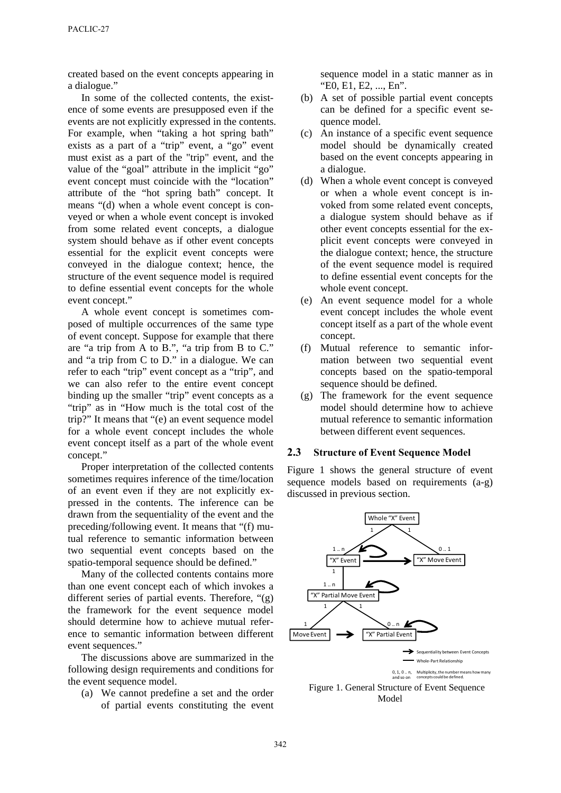created based on the event concepts appearing in a dialogue."

In some of the collected contents, the existence of some events are presupposed even if the events are not explicitly expressed in the contents. For example, when "taking a hot spring bath" exists as a part of a "trip" event, a "go" event must exist as a part of the "trip" event, and the value of the "goal" attribute in the implicit "go" event concept must coincide with the "location" attribute of the "hot spring bath" concept. It means "(d) when a whole event concept is conveyed or when a whole event concept is invoked from some related event concepts, a dialogue system should behave as if other event concepts essential for the explicit event concepts were conveyed in the dialogue context; hence, the structure of the event sequence model is required to define essential event concepts for the whole event concept."

A whole event concept is sometimes composed of multiple occurrences of the same type of event concept. Suppose for example that there are "a trip from A to B.", "a trip from B to C." and "a trip from C to D." in a dialogue. We can refer to each "trip" event concept as a "trip", and we can also refer to the entire event concept binding up the smaller "trip" event concepts as a "trip" as in "How much is the total cost of the trip?" It means that "(e) an event sequence model for a whole event concept includes the whole event concept itself as a part of the whole event concept."

Proper interpretation of the collected contents sometimes requires inference of the time/location of an event even if they are not explicitly expressed in the contents. The inference can be drawn from the sequentiality of the event and the preceding/following event. It means that "(f) mutual reference to semantic information between two sequential event concepts based on the spatio-temporal sequence should be defined."

Many of the collected contents contains more than one event concept each of which invokes a different series of partial events. Therefore, "(g) the framework for the event sequence model should determine how to achieve mutual reference to semantic information between different event sequences."

The discussions above are summarized in the following design requirements and conditions for the event sequence model.

(a) We cannot predefine a set and the order of partial events constituting the event sequence model in a static manner as in "E0, E1, E2, ..., En".

- (b) A set of possible partial event concepts can be defined for a specific event sequence model.
- (c) An instance of a specific event sequence model should be dynamically created based on the event concepts appearing in a dialogue.
- (d) When a whole event concept is conveyed or when a whole event concept is invoked from some related event concepts, a dialogue system should behave as if other event concepts essential for the explicit event concepts were conveyed in the dialogue context; hence, the structure of the event sequence model is required to define essential event concepts for the whole event concept.
- (e) An event sequence model for a whole event concept includes the whole event concept itself as a part of the whole event concept.
- (f) Mutual reference to semantic information between two sequential event concepts based on the spatio-temporal sequence should be defined.
- (g) The framework for the event sequence model should determine how to achieve mutual reference to semantic information between different event sequences.

#### **2.3 Structure of Event Sequence Model**

Figure 1 shows the general structure of event sequence models based on requirements (a-g) discussed in previous section.



Figure 1. General Structure of Event Sequence Model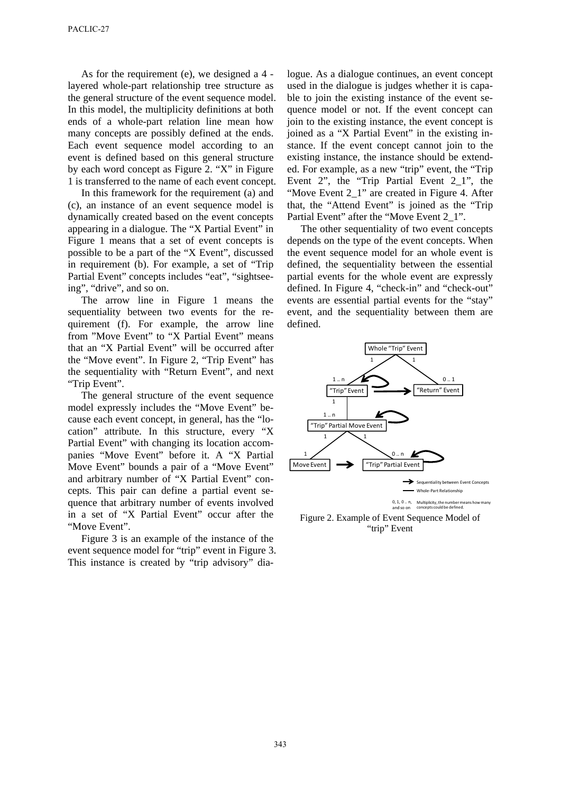As for the requirement (e), we designed a 4 layered whole-part relationship tree structure as the general structure of the event sequence model. In this model, the multiplicity definitions at both ends of a whole-part relation line mean how many concepts are possibly defined at the ends. Each event sequence model according to an event is defined based on this general structure by each word concept as Figure 2. "X" in Figure 1 is transferred to the name of each event concept.

In this framework for the requirement (a) and (c), an instance of an event sequence model is dynamically created based on the event concepts appearing in a dialogue. The "X Partial Event" in Figure 1 means that a set of event concepts is possible to be a part of the "X Event", discussed in requirement (b). For example, a set of "Trip Partial Event" concepts includes "eat", "sightseeing", "drive", and so on.

The arrow line in Figure 1 means the sequentiality between two events for the requirement (f). For example, the arrow line from "Move Event" to "X Partial Event" means that an "X Partial Event" will be occurred after the "Move event". In Figure 2, "Trip Event" has the sequentiality with "Return Event", and next "Trip Event".

The general structure of the event sequence model expressly includes the "Move Event" because each event concept, in general, has the "location" attribute. In this structure, every "X Partial Event" with changing its location accompanies "Move Event" before it. A "X Partial Move Event" bounds a pair of a "Move Event" and arbitrary number of "X Partial Event" concepts. This pair can define a partial event sequence that arbitrary number of events involved in a set of "X Partial Event" occur after the "Move Event".

Figure 3 is an example of the instance of the event sequence model for "trip" event in Figure 3. This instance is created by "trip advisory" dia-

logue. As a dialogue continues, an event concept used in the dialogue is judges whether it is capable to join the existing instance of the event sequence model or not. If the event concept can join to the existing instance, the event concept is joined as a "X Partial Event" in the existing instance. If the event concept cannot join to the existing instance, the instance should be extended. For example, as a new "trip" event, the "Trip Event 2", the "Trip Partial Event 2\_1", the "Move Event 2\_1" are created in Figure 4. After that, the "Attend Event" is joined as the "Trip Partial Event" after the "Move Event 2\_1".

The other sequentiality of two event concepts depends on the type of the event concepts. When the event sequence model for an whole event is defined, the sequentiality between the essential partial events for the whole event are expressly defined. In Figure 4, "check-in" and "check-out" events are essential partial events for the "stay" event, and the sequentiality between them are defined.



Figure 2. Example of Event Sequence Model of "trip" Event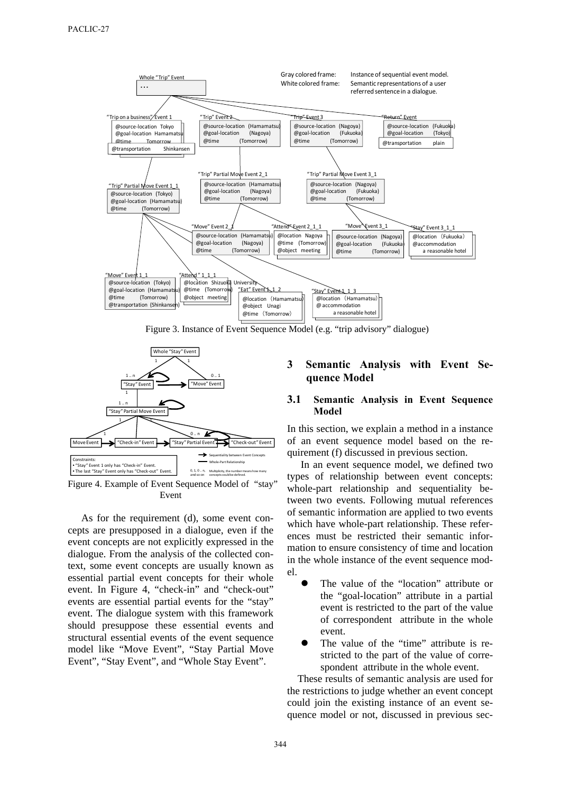

Figure 3. Instance of Event Sequence Model (e.g. "trip advisory" dialogue)



Figure 4. Example of Event Sequence Model of "stay" Event

As for the requirement (d), some event concepts are presupposed in a dialogue, even if the event concepts are not explicitly expressed in the dialogue. From the analysis of the collected context, some event concepts are usually known as essential partial event concepts for their whole event. In Figure 4, "check-in" and "check-out" events are essential partial events for the "stay" event. The dialogue system with this framework should presuppose these essential events and structural essential events of the event sequence model like "Move Event", "Stay Partial Move Event", "Stay Event", and "Whole Stay Event".

# **3 Semantic Analysis with Event Sequence Model**

#### **3.1 Semantic Analysis in Event Sequence Model**

In this section, we explain a method in a instance of an event sequence model based on the requirement (f) discussed in previous section.

In an event sequence model, we defined two types of relationship between event concepts: whole-part relationship and sequentiality between two events. Following mutual references of semantic information are applied to two events which have whole-part relationship. These references must be restricted their semantic information to ensure consistency of time and location in the whole instance of the event sequence model.

- The value of the "location" attribute or the "goal-location" attribute in a partial event is restricted to the part of the value of correspondent attribute in the whole event.
- The value of the "time" attribute is restricted to the part of the value of correspondent attribute in the whole event.

These results of semantic analysis are used for the restrictions to judge whether an event concept could join the existing instance of an event sequence model or not, discussed in previous sec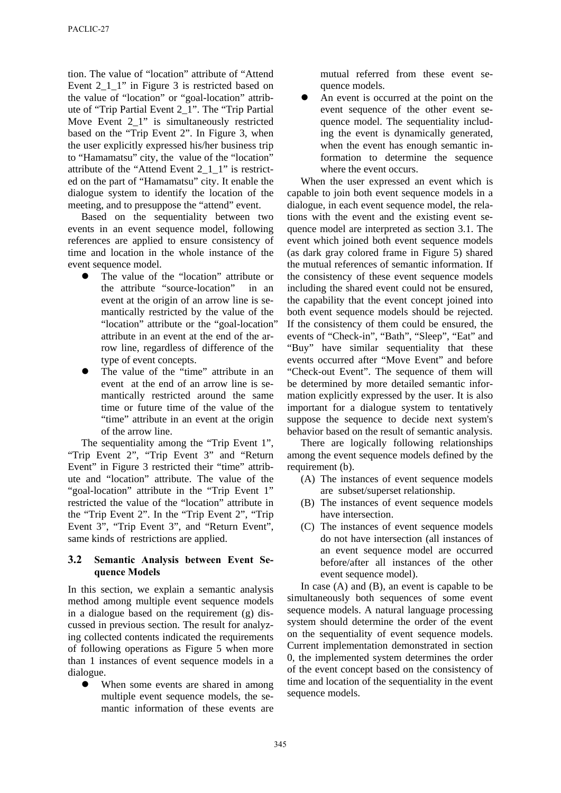tion. The value of "location" attribute of "Attend Event 2\_1\_1" in Figure 3 is restricted based on the value of "location" or "goal-location" attribute of "Trip Partial Event 2\_1". The "Trip Partial Move Event 2\_1" is simultaneously restricted based on the "Trip Event 2". In Figure 3, when the user explicitly expressed his/her business trip to "Hamamatsu" city, the value of the "location" attribute of the "Attend Event 2\_1\_1" is restricted on the part of "Hamamatsu" city. It enable the dialogue system to identify the location of the meeting, and to presuppose the "attend" event.

Based on the sequentiality between two events in an event sequence model, following references are applied to ensure consistency of time and location in the whole instance of the event sequence model.

- The value of the "location" attribute or the attribute "source-location" in an event at the origin of an arrow line is semantically restricted by the value of the "location" attribute or the "goal-location" attribute in an event at the end of the arrow line, regardless of difference of the type of event concepts.
- The value of the "time" attribute in an event at the end of an arrow line is semantically restricted around the same time or future time of the value of the "time" attribute in an event at the origin of the arrow line.

The sequentiality among the "Trip Event 1", "Trip Event 2", "Trip Event 3" and "Return Event" in Figure 3 restricted their "time" attribute and "location" attribute. The value of the "goal-location" attribute in the "Trip Event 1" restricted the value of the "location" attribute in the "Trip Event 2". In the "Trip Event 2", "Trip Event 3", "Trip Event 3", and "Return Event", same kinds of restrictions are applied.

# **3.2 Semantic Analysis between Event Sequence Models**

In this section, we explain a semantic analysis method among multiple event sequence models in a dialogue based on the requirement (g) discussed in previous section. The result for analyzing collected contents indicated the requirements of following operations as Figure 5 when more than 1 instances of event sequence models in a dialogue.

 When some events are shared in among multiple event sequence models, the semantic information of these events are

mutual referred from these event sequence models.

 An event is occurred at the point on the event sequence of the other event sequence model. The sequentiality including the event is dynamically generated, when the event has enough semantic information to determine the sequence where the event occurs.

When the user expressed an event which is capable to join both event sequence models in a dialogue, in each event sequence model, the relations with the event and the existing event sequence model are interpreted as section 3.1. The event which joined both event sequence models (as dark gray colored frame in Figure 5) shared the mutual references of semantic information. If the consistency of these event sequence models including the shared event could not be ensured, the capability that the event concept joined into both event sequence models should be rejected. If the consistency of them could be ensured, the events of "Check-in", "Bath", "Sleep", "Eat" and "Buy" have similar sequentiality that these events occurred after "Move Event" and before "Check-out Event". The sequence of them will be determined by more detailed semantic information explicitly expressed by the user. It is also important for a dialogue system to tentatively suppose the sequence to decide next system's behavior based on the result of semantic analysis.

There are logically following relationships among the event sequence models defined by the requirement (b).

- (A) The instances of event sequence models are subset/superset relationship.
- (B) The instances of event sequence models have intersection.
- (C) The instances of event sequence models do not have intersection (all instances of an event sequence model are occurred before/after all instances of the other event sequence model).

In case  $(A)$  and  $(B)$ , an event is capable to be simultaneously both sequences of some event sequence models. A natural language processing system should determine the order of the event on the sequentiality of event sequence models. Current implementation demonstrated in section 0, the implemented system determines the order of the event concept based on the consistency of time and location of the sequentiality in the event sequence models.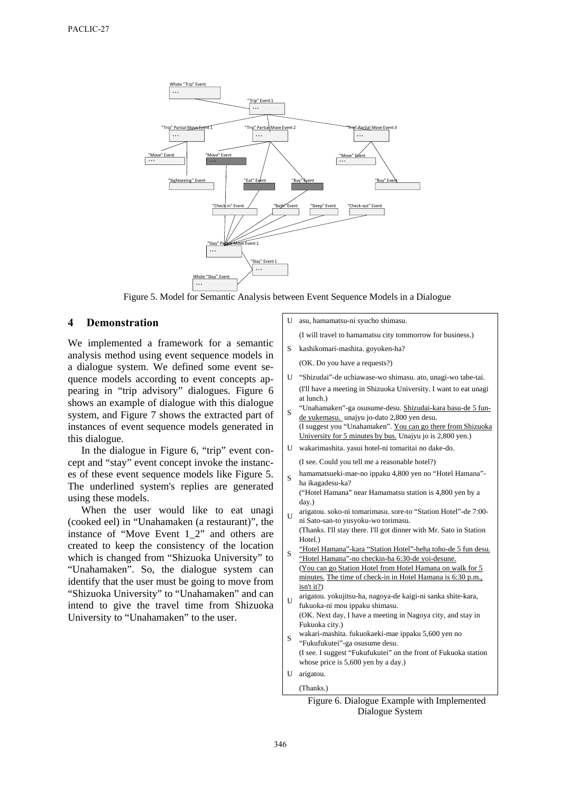

Figure 5. Model for Semantic Analysis between Event Sequence Models in a Dialogue

#### **4 Demonstration**

We implemented a framework for a semantic analysis method using event sequence models in a dialogue system. We defined some event sequence models according to event concepts appearing in "trip advisory" dialogues. Figure 6 shows an example of dialogue with this dialogue system, and Figure 7 shows the extracted part of instances of event sequence models generated in this dialogue.

In the dialogue in Figure 6, "trip" event concept and "stay" event concept invoke the instances of these event sequence models like Figure 5. The underlined system's replies are generated using these models.

When the user would like to eat unagi (cooked eel) in "Unahamaken (a restaurant)", the instance of "Move Event 1\_2" and others are created to keep the consistency of the location which is changed from "Shizuoka University" to "Unahamaken". So, the dialogue system can identify that the user must be going to move from "Shizuoka University" to "Unahamaken" and can intend to give the travel time from Shizuoka University to "Unahamaken" to the user.

U asu, hamamatsu-ni syucho shimasu.

(I will travel to hamamatsu city tommorrow for business.)

- S kashikomari-mashita. goyoken-ha?
	- (OK. Do you have a requests?)
- U "Shizudai"-de uchiawase-wo shimasu. ato, unagi-wo tabe-tai. (I'll have a meeting in Shizuoka University. I want to eat unagi at lunch.)
- <sup>S</sup> "Unahamaken"-ga osusume-desu. Shizudai-kara basu-de 5 funde yukemasu. unajyu jo-dato 2,800 yen desu.
- (I suggest you "Unahamaken". You can go there from Shizuoka University for 5 minutes by bus. Unajyu jo is 2,800 yen.)
- U wakarimashita. yasui hotel-ni tomaritai no dake-do.

(I see. Could you tell me a reasonable hotel?)

<sup>S</sup> hamamatsueki-mae-no ippaku 4,800 yen no "Hotel Hamana" ha ikagadesu-ka?

("Hotel Hamana" near Hamamatsu station is 4,800 yen by a day.)

- <sup>U</sup> arigatou. soko-ni tomarimasu. sore-to "Station Hotel"-de 7:00 ni Sato-san-to yusyoku-wo torimasu.
- (Thanks. I'll stay there. I'll got dinner with Mr. Sato in Station Hotel.)
- <sup>S</sup> "Hotel Hamana"-kara "Station Hotel"-heha toho-de 5 fun desu. "Hotel Hamana"-no checkin-ha 6:30-de yoi-desune. (You can go Station Hotel from Hotel Hamana on walk for 5 minutes. The time of check-in in Hotel Hamana is 6:30 p.m., isn't it?)
- <sup>U</sup> arigatou. yokujitsu-ha, nagoya-de kaigi-ni sanka shite-kara, fukuoka-ni mou ippaku shimasu. (OK. Next day, I have a meeting in Nagoya city, and stay in Fukuoka city.)
- <sup>S</sup> wakari-mashita. fukuokaeki-mae ippaku 5,600 yen no "Fukufukutei"-ga osusume desu. (I see. I suggest "Fukufukutei" on the front of Fukuoka station whose price is 5,600 yen by a day.)

U arigatou. (Thanks.)

Figure 6. Dialogue Example with Implemented Dialogue System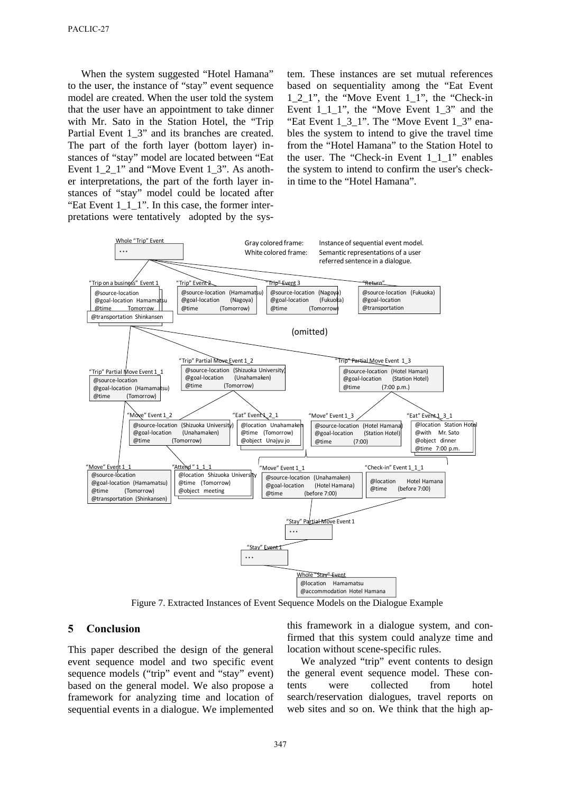When the system suggested "Hotel Hamana" to the user, the instance of "stay" event sequence model are created. When the user told the system that the user have an appointment to take dinner with Mr. Sato in the Station Hotel, the "Trip Partial Event 1\_3" and its branches are created. The part of the forth layer (bottom layer) instances of "stay" model are located between "Eat Event 1\_2\_1" and "Move Event 1\_3". As another interpretations, the part of the forth layer instances of "stay" model could be located after "Eat Event  $1_1$ <sup>"</sup>. In this case, the former interpretations were tentatively adopted by the system. These instances are set mutual references based on sequentiality among the "Eat Event 1\_2\_1", the "Move Event 1\_1", the "Check-in Event  $1\ 1\ 1$ ", the "Move Event  $1\ 3$ " and the "Eat Event  $1_3_1$ ". The "Move Event  $1_3$ " enables the system to intend to give the travel time from the "Hotel Hamana" to the Station Hotel to the user. The "Check-in Event 1 1 1" enables the system to intend to confirm the user's checkin time to the "Hotel Hamana".



Figure 7. Extracted Instances of Event Sequence Models on the Dialogue Example

# **5 Conclusion**

This paper described the design of the general event sequence model and two specific event sequence models ("trip" event and "stay" event) based on the general model. We also propose a framework for analyzing time and location of sequential events in a dialogue. We implemented this framework in a dialogue system, and confirmed that this system could analyze time and location without scene-specific rules.

We analyzed "trip" event contents to design the general event sequence model. These contents were collected from hotel search/reservation dialogues, travel reports on web sites and so on. We think that the high ap